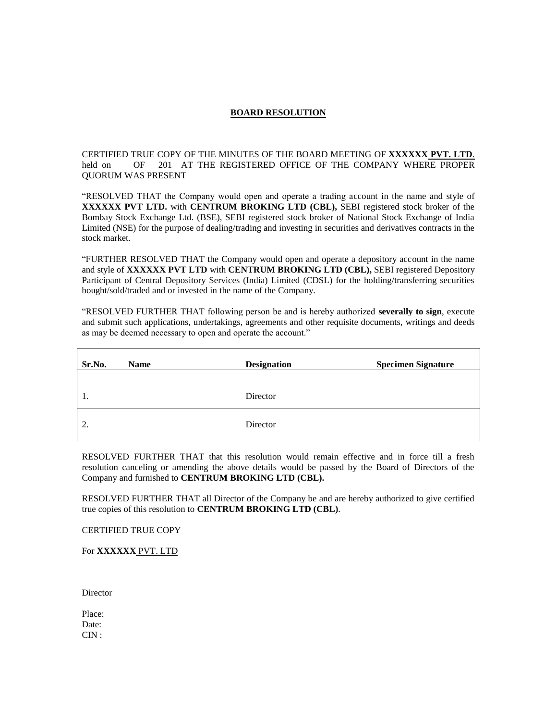## **BOARD RESOLUTION**

CERTIFIED TRUE COPY OF THE MINUTES OF THE BOARD MEETING OF **XXXXXX PVT. LTD**. held on OF 201 AT THE REGISTERED OFFICE OF THE COMPANY WHERE PROPER QUORUM WAS PRESENT

"RESOLVED THAT the Company would open and operate a trading account in the name and style of **XXXXXX PVT LTD.** with **CENTRUM BROKING LTD (CBL),** SEBI registered stock broker of the Bombay Stock Exchange Ltd. (BSE), SEBI registered stock broker of National Stock Exchange of India Limited (NSE) for the purpose of dealing/trading and investing in securities and derivatives contracts in the stock market.

"FURTHER RESOLVED THAT the Company would open and operate a depository account in the name and style of **XXXXXX PVT LTD** with **CENTRUM BROKING LTD (CBL),** SEBI registered Depository Participant of Central Depository Services (India) Limited (CDSL) for the holding/transferring securities bought/sold/traded and or invested in the name of the Company.

"RESOLVED FURTHER THAT following person be and is hereby authorized **severally to sign**, execute and submit such applications, undertakings, agreements and other requisite documents, writings and deeds as may be deemed necessary to open and operate the account."

| Sr.No. | <b>Name</b> | <b>Designation</b> | <b>Specimen Signature</b> |
|--------|-------------|--------------------|---------------------------|
|        |             |                    |                           |
| 1.     |             | Director           |                           |
| 2.     |             | Director           |                           |

RESOLVED FURTHER THAT that this resolution would remain effective and in force till a fresh resolution canceling or amending the above details would be passed by the Board of Directors of the Company and furnished to **CENTRUM BROKING LTD (CBL).**

RESOLVED FURTHER THAT all Director of the Company be and are hereby authorized to give certified true copies of this resolution to **CENTRUM BROKING LTD (CBL)**.

CERTIFIED TRUE COPY

For **XXXXXX** PVT. LTD

**Director** 

Place: Date: CIN :